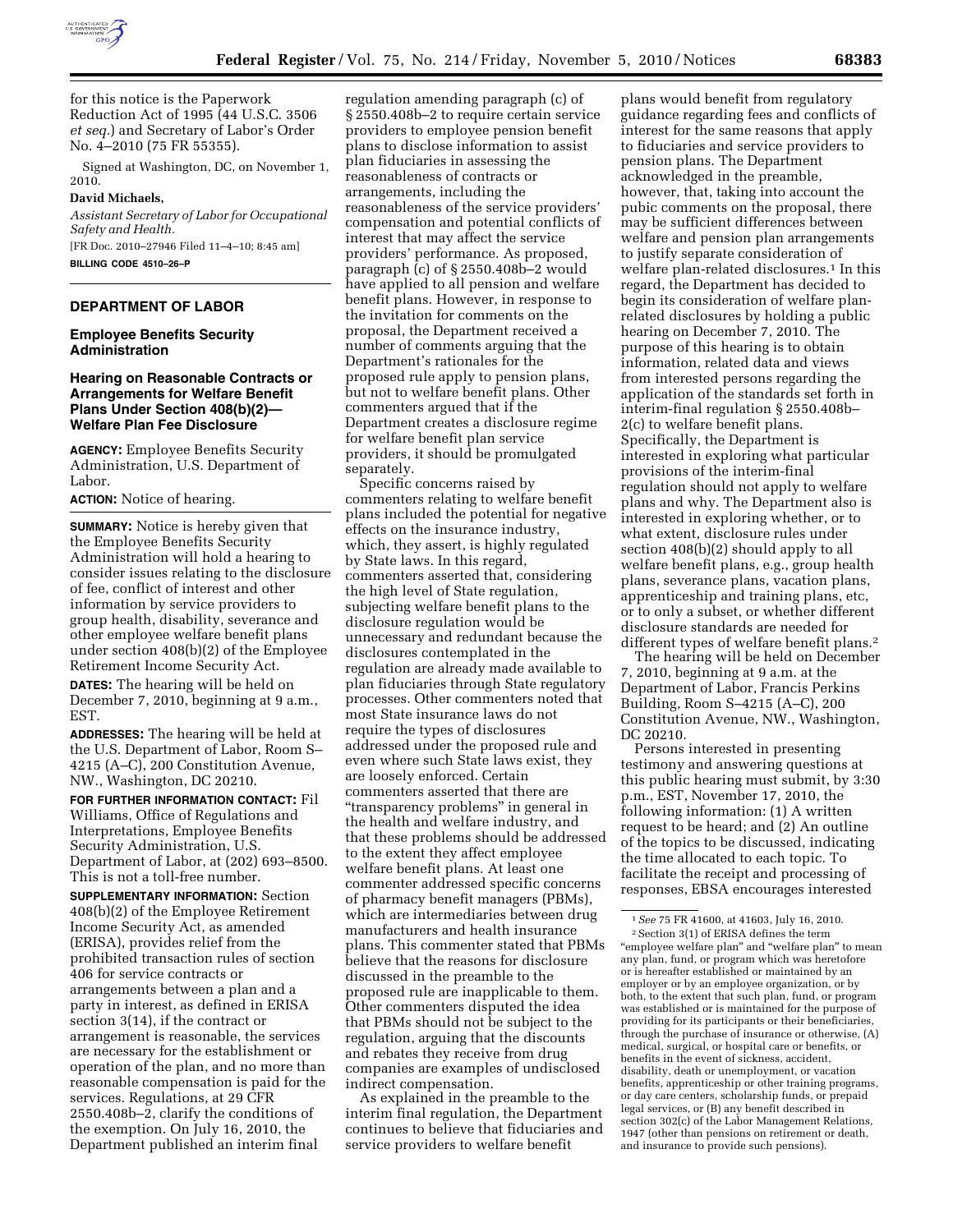

for this notice is the Paperwork Reduction Act of 1995 (44 U.S.C. 3506 *et seq.*) and Secretary of Labor's Order No. 4–2010 (75 FR 55355).

Signed at Washington, DC, on November 1, 2010.

### **David Michaels,**

*Assistant Secretary of Labor for Occupational Safety and Health.* 

[FR Doc. 2010–27946 Filed 11–4–10; 8:45 am] **BILLING CODE 4510–26–P** 

# **DEPARTMENT OF LABOR**

### **Employee Benefits Security Administration**

## **Hearing on Reasonable Contracts or Arrangements for Welfare Benefit Plans Under Section 408(b)(2)— Welfare Plan Fee Disclosure**

**AGENCY:** Employee Benefits Security Administration, U.S. Department of Labor.

#### **ACTION:** Notice of hearing.

**SUMMARY:** Notice is hereby given that the Employee Benefits Security Administration will hold a hearing to consider issues relating to the disclosure of fee, conflict of interest and other information by service providers to group health, disability, severance and other employee welfare benefit plans under section 408(b)(2) of the Employee Retirement Income Security Act.

**DATES:** The hearing will be held on December 7, 2010, beginning at 9 a.m., EST.

**ADDRESSES:** The hearing will be held at the U.S. Department of Labor, Room S– 4215 (A–C), 200 Constitution Avenue, NW., Washington, DC 20210.

**FOR FURTHER INFORMATION CONTACT:** Fil Williams, Office of Regulations and Interpretations, Employee Benefits Security Administration, U.S. Department of Labor, at (202) 693–8500. This is not a toll-free number.

**SUPPLEMENTARY INFORMATION:** Section 408(b)(2) of the Employee Retirement Income Security Act, as amended (ERISA), provides relief from the prohibited transaction rules of section 406 for service contracts or arrangements between a plan and a party in interest, as defined in ERISA section 3(14), if the contract or arrangement is reasonable, the services are necessary for the establishment or operation of the plan, and no more than reasonable compensation is paid for the services. Regulations, at 29 CFR 2550.408b–2, clarify the conditions of the exemption. On July 16, 2010, the Department published an interim final

regulation amending paragraph (c) of § 2550.408b–2 to require certain service providers to employee pension benefit plans to disclose information to assist plan fiduciaries in assessing the reasonableness of contracts or arrangements, including the reasonableness of the service providers' compensation and potential conflicts of interest that may affect the service providers' performance. As proposed, paragraph (c) of § 2550.408b–2 would have applied to all pension and welfare benefit plans. However, in response to the invitation for comments on the proposal, the Department received a number of comments arguing that the Department's rationales for the proposed rule apply to pension plans, but not to welfare benefit plans. Other commenters argued that if the Department creates a disclosure regime for welfare benefit plan service providers, it should be promulgated separately.

Specific concerns raised by commenters relating to welfare benefit plans included the potential for negative effects on the insurance industry, which, they assert, is highly regulated by State laws. In this regard, commenters asserted that, considering the high level of State regulation, subjecting welfare benefit plans to the disclosure regulation would be unnecessary and redundant because the disclosures contemplated in the regulation are already made available to plan fiduciaries through State regulatory processes. Other commenters noted that most State insurance laws do not require the types of disclosures addressed under the proposed rule and even where such State laws exist, they are loosely enforced. Certain commenters asserted that there are ''transparency problems'' in general in the health and welfare industry, and that these problems should be addressed to the extent they affect employee welfare benefit plans. At least one commenter addressed specific concerns of pharmacy benefit managers (PBMs), which are intermediaries between drug manufacturers and health insurance plans. This commenter stated that PBMs believe that the reasons for disclosure discussed in the preamble to the proposed rule are inapplicable to them. Other commenters disputed the idea that PBMs should not be subject to the regulation, arguing that the discounts and rebates they receive from drug companies are examples of undisclosed indirect compensation.

As explained in the preamble to the interim final regulation, the Department continues to believe that fiduciaries and service providers to welfare benefit

plans would benefit from regulatory guidance regarding fees and conflicts of interest for the same reasons that apply to fiduciaries and service providers to pension plans. The Department acknowledged in the preamble, however, that, taking into account the pubic comments on the proposal, there may be sufficient differences between welfare and pension plan arrangements to justify separate consideration of welfare plan-related disclosures.<sup>1</sup> In this regard, the Department has decided to begin its consideration of welfare planrelated disclosures by holding a public hearing on December 7, 2010. The purpose of this hearing is to obtain information, related data and views from interested persons regarding the application of the standards set forth in interim-final regulation § 2550.408b– 2(c) to welfare benefit plans. Specifically, the Department is interested in exploring what particular provisions of the interim-final regulation should not apply to welfare plans and why. The Department also is interested in exploring whether, or to what extent, disclosure rules under section 408(b)(2) should apply to all welfare benefit plans, e.g., group health plans, severance plans, vacation plans, apprenticeship and training plans, etc, or to only a subset, or whether different disclosure standards are needed for different types of welfare benefit plans.<sup>2</sup>

The hearing will be held on December 7, 2010, beginning at 9 a.m. at the Department of Labor, Francis Perkins Building, Room S–4215 (A–C), 200 Constitution Avenue, NW., Washington, DC 20210.

Persons interested in presenting testimony and answering questions at this public hearing must submit, by 3:30 p.m., EST, November 17, 2010, the following information: (1) A written request to be heard; and (2) An outline of the topics to be discussed, indicating the time allocated to each topic. To facilitate the receipt and processing of responses, EBSA encourages interested

<sup>1</sup>*See* 75 FR 41600, at 41603, July 16, 2010. 2Section 3(1) of ERISA defines the term "employee welfare plan" and "welfare plan" to mean any plan, fund, or program which was heretofore or is hereafter established or maintained by an employer or by an employee organization, or by both, to the extent that such plan, fund, or program was established or is maintained for the purpose of providing for its participants or their beneficiaries, through the purchase of insurance or otherwise, (A) medical, surgical, or hospital care or benefits, or benefits in the event of sickness, accident, disability, death or unemployment, or vacation benefits, apprenticeship or other training programs, or day care centers, scholarship funds, or prepaid legal services, or (B) any benefit described in section 302(c) of the Labor Management Relations, 1947 (other than pensions on retirement or death, and insurance to provide such pensions).